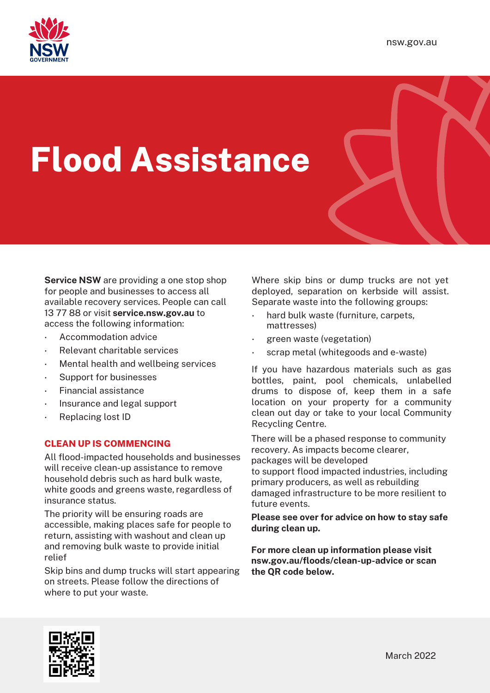



## **Flood Assistance**

**Service NSW** are providing a one stop shop for people and businesses to access all available recovery services. People can call 13 77 88 or visit **service.nsw.gov.au** to access the following information:

- Accommodation advice
- Relevant charitable services
- Mental health and wellbeing services
- Support for businesses
- Financial assistance
- Insurance and legal support
- Replacing lost ID

## **CLEAN UP IS COMMENCING**

All flood-impacted households and businesses will receive clean-up assistance to remove household debris such as hard bulk waste, white goods and greens waste, regardless of insurance status.

The priority will be ensuring roads are accessible, making places safe for people to return, assisting with washout and clean up and removing bulk waste to provide initial relief

Skip bins and dump trucks will start appearing on streets. Please follow the directions of where to put your waste.

Where skip bins or dump trucks are not yet deployed, separation on kerbside will assist. Separate waste into the following groups:

- hard bulk waste (furniture, carpets, mattresses)
- green waste (vegetation)
- scrap metal (whitegoods and e-waste)

If you have hazardous materials such as gas bottles, paint, pool chemicals, unlabelled drums to dispose of, keep them in a safe location on your property for a community clean out day or take to your local Community Recycling Centre.

There will be a phased response to community recovery. As impacts become clearer, packages will be developed to support flood impacted industries, including primary producers, as well as rebuilding damaged infrastructure to be more resilient to future events.

**Please see over for advice on how to stay safe during clean up.**

**For more clean up information please visit nsw.gov.au/floods/clean-up-advice or scan the QR code below.**